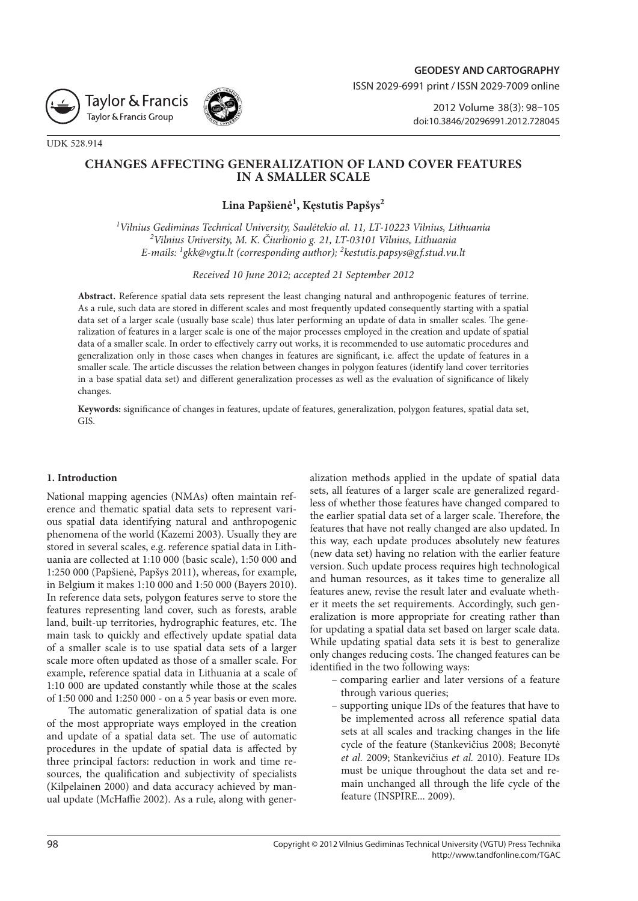

UDK 528.914



2012 Volume 38(3): 98–105 [doi:10.3846/20296991.2012.728045](http://dx.doi.org/10.3846/20296991.2012.728045)

**CHANGES AFFECTING GENERALIZATION OF LAND COVER FEATURES IN A SMALLER SCALE** 

**Lina Papšienė1 , Kęstutis Papšys2**

*1 Vilnius Gediminas Technical University, Saulėtekio al. 11, LT-10223 Vilnius, Lithuania <sup>2</sup> Vilnius University, M. K. Čiurlionio g. 21, LT-03101 Vilnius, Lithuania E-mails: <sup>1</sup> gkk@vgtu.lt (corresponding author); <sup>2</sup> kestutis.papsys@gf.stud.vu.lt*

*Received 10 June 2012; accepted 21 September 2012*

**Abstract.** Reference spatial data sets represent the least changing natural and anthropogenic features of terrine. As a rule, such data are stored in different scales and most frequently updated consequently starting with a spatial data set of a larger scale (usually base scale) thus later performing an update of data in smaller scales. The generalization of features in a larger scale is one of the major processes employed in the creation and update of spatial data of a smaller scale. In order to effectively carry out works, it is recommended to use automatic procedures and generalization only in those cases when changes in features are significant, i.e. affect the update of features in a smaller scale. The article discusses the relation between changes in polygon features (identify land cover territories in a base spatial data set) and different generalization processes as well as the evaluation of significance of likely changes.

**Keywords:** significance of changes in features, update of features, generalization, polygon features, spatial data set, GIS.

# **1. Introduction**

National mapping agencies (NMAs) often maintain reference and thematic spatial data sets to represent various spatial data identifying natural and anthropogenic phenomena of the world (Kazemi 2003). Usually they are stored in several scales, e.g. reference spatial data in Lithuania are collected at 1:10 000 (basic scale), 1:50 000 and 1:250 000 (Papšienė, Papšys 2011), whereas, for example, in Belgium it makes 1:10 000 and 1:50 000 (Bayers 2010). In reference data sets, polygon features serve to store the features representing land cover, such as forests, arable land, built-up territories, hydrographic features, etc. The main task to quickly and effectively update spatial data of a smaller scale is to use spatial data sets of a larger scale more often updated as those of a smaller scale. For example, reference spatial data in Lithuania at a scale of 1:10 000 are updated constantly while those at the scales of 1:50 000 and 1:250 000 - on a 5 year basis or even more.

The automatic generalization of spatial data is one of the most appropriate ways employed in the creation and update of a spatial data set. The use of automatic procedures in the update of spatial data is affected by three principal factors: reduction in work and time resources, the qualification and subjectivity of specialists (Kilpelainen 2000) and data accuracy achieved by manual update (McHaffie 2002). As a rule, along with generalization methods applied in the update of spatial data sets, all features of a larger scale are generalized regardless of whether those features have changed compared to the earlier spatial data set of a larger scale. Therefore, the features that have not really changed are also updated. In this way, each update produces absolutely new features (new data set) having no relation with the earlier feature version. Such update process requires high technological and human resources, as it takes time to generalize all features anew, revise the result later and evaluate whether it meets the set requirements. Accordingly, such generalization is more appropriate for creating rather than for updating a spatial data set based on larger scale data. While updating spatial data sets it is best to generalize only changes reducing costs. The changed features can be identified in the two following ways:

- comparing earlier and later versions of a feature through various queries;
- supporting unique IDs of the features that have to be implemented across all reference spatial data sets at all scales and tracking changes in the life cycle of the feature (Stankevičius 2008; Beconytė *et al.* 2009; Stankevičius *et al.* 2010). Feature IDs must be unique throughout the data set and remain unchanged all through the life cycle of the feature (INSPIRE... 2009).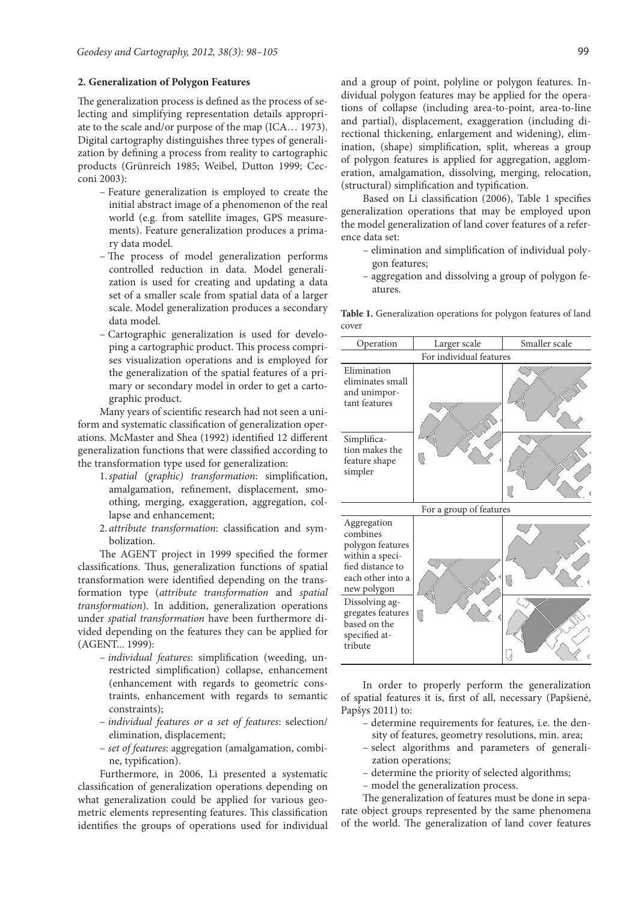### **2. Generalization of Polygon Features**

The generalization process is defined as the process of selecting and simplifying representation details appropriate to the scale and/or purpose of the map (ICA… 1973). Digital cartography distinguishes three types of generalization by defining a process from reality to cartographic products (Grünreich 1985; Weibel, Dutton 1999; Cecconi 2003):

- Feature generalization is employed to create the initial abstract image of a phenomenon of the real world (e.g. from satellite images, GPS measurements). Feature generalization produces a primary data model.
- The process of model generalization performs controlled reduction in data. Model generalization is used for creating and updating a data set of a smaller scale from spatial data of a larger scale. Model generalization produces a secondary data model.
- Cartographic generalization is used for developing a cartographic product. This process comprises visualization operations and is employed for the generalization of the spatial features of a primary or secondary model in order to get a cartographic product.

Many years of scientific research had not seen a uniform and systematic classification of generalization operations. McMaster and Shea (1992) identified 12 different generalization functions that were classified according to the transformation type used for generalization:

- 1.*spatial (graphic) transformation*: simplification, amalgamation, refinement, displacement, smoothing, merging, exaggeration, aggregation, collapse and enhancement;
- 2. *attribute transformation*: classification and symbolization.

The AGENT project in 1999 specified the former classifications. Thus, generalization functions of spatial transformation were identified depending on the transformation type (*attribute transformation* and *spatial transformation*). In addition, generalization operations under *spatial transformation* have been furthermore divided depending on the features they can be applied for (AGENT... 1999):

- *individual features*: simplification (weeding, unrestricted simplification) collapse, enhancement (enhancement with regards to geometric constraints, enhancement with regards to semantic constraints);
- *individual features or a set of features*: selection/ elimination, displacement;
- *set of features*: aggregation (amalgamation, combine, typification).

Furthermore, in 2006, Li presented a systematic classification of generalization operations depending on what generalization could be applied for various geometric elements representing features. This classification identifies the groups of operations used for individual

and a group of point, polyline or polygon features. Individual polygon features may be applied for the operations of collapse (including area-to-point, area-to-line and partial), displacement, exaggeration (including directional thickening, enlargement and widening), elimination, (shape) simplification, split, whereas a group of polygon features is applied for aggregation, agglomeration, amalgamation, dissolving, merging, relocation, (structural) simplification and typification.

Based on Li classification (2006), Table 1 specifies generalization operations that may be employed upon the model generalization of land cover features of a reference data set:

- elimination and simplification of individual polygon features;
- aggregation and dissolving a group of polygon features.

**Table 1.** Generalization operations for polygon features of land cover



In order to properly perform the generalization of spatial features it is, first of all, necessary (Papšienė, Papšys 2011) to:

- determine requirements for features, i.e. the den
	- sity of features, geometry resolutions, min. area;
- select algorithms and parameters of generalization operations;
- determine the priority of selected algorithms;
- model the generalization process.

The generalization of features must be done in separate object groups represented by the same phenomena of the world. The generalization of land cover features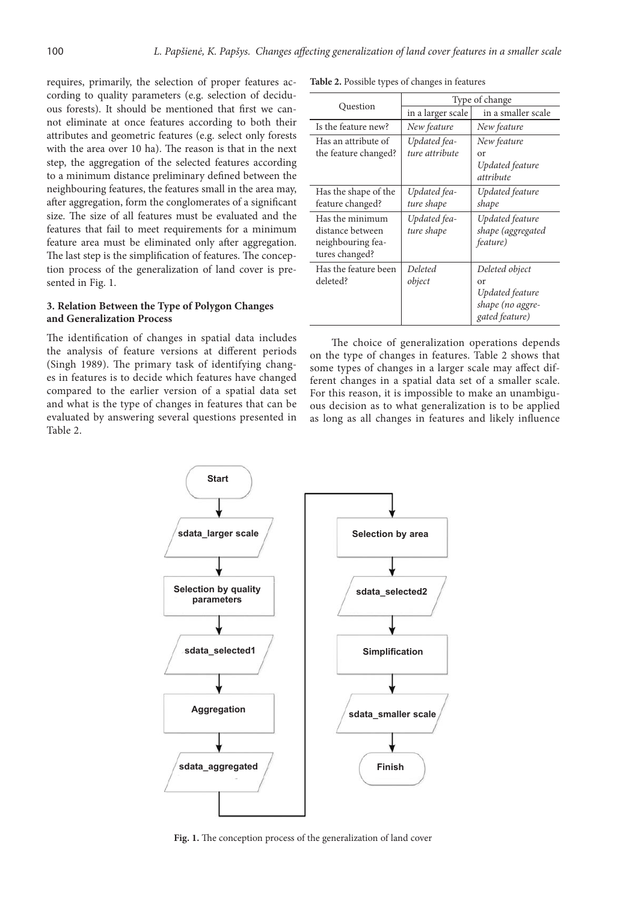**Table 2.** Possible types of changes in features

requires, primarily, the selection of proper features according to quality parameters (e.g. selection of deciduous forests). It should be mentioned that first we cannot eliminate at once features according to both their attributes and geometric features (e.g. select only forests with the area over 10 ha). The reason is that in the next step, the aggregation of the selected features according to a minimum distance preliminary defined between the neighbouring features, the features small in the area may, after aggregation, form the conglomerates of a significant size. The size of all features must be evaluated and the features that fail to meet requirements for a minimum feature area must be eliminated only after aggregation. The last step is the simplification of features. The conception process of the generalization of land cover is presented in Fig. 1.

## **3. Relation Between the Type of Polygon Changes and Generalization Process**

The identification of changes in spatial data includes the analysis of feature versions at different periods (Singh 1989). The primary task of identifying changes in features is to decide which features have changed compared to the earlier version of a spatial data set and what is the type of changes in features that can be evaluated by answering several questions presented in Table 2.

| Ouestion             | Type of change    |                              |  |
|----------------------|-------------------|------------------------------|--|
|                      | in a larger scale | in a smaller scale           |  |
| Is the feature new?  | New feature       | New feature                  |  |
| Has an attribute of  | Updated fea-      | New feature                  |  |
| the feature changed? | ture attribute    | or                           |  |
|                      |                   | Updated feature<br>attribute |  |
| Has the shape of the | Updated fea-      | Updated feature              |  |
| feature changed?     | ture shape        | shape                        |  |
| Has the minimum      | Updated fea-      | Updated feature              |  |
| distance between     | ture shape        | shape (aggregated            |  |
| neighbouring fea-    |                   | feature)                     |  |
| tures changed?       |                   |                              |  |
| Has the feature been | Deleted           | Deleted object               |  |
| deleted?             | object            | or                           |  |
|                      |                   | Updated feature              |  |
|                      |                   | shape (no aggre-             |  |
|                      |                   | gated feature)               |  |

The choice of generalization operations depends on the type of changes in features. Table 2 shows that some types of changes in a larger scale may affect different changes in a spatial data set of a smaller scale. For this reason, it is impossible to make an unambiguous decision as to what generalization is to be applied as long as all changes in features and likely influence



**Fig. 1.** The conception process of the generalization of land cover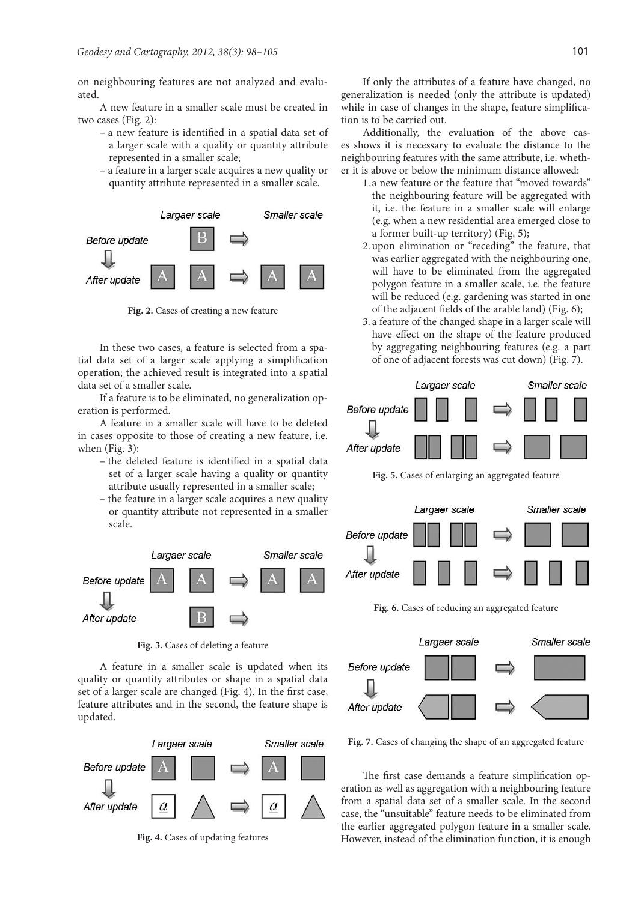on neighbouring features are not analyzed and evaluated.

A new feature in a smaller scale must be created in two cases (Fig. 2):

- a new feature is identified in a spatial data set of a larger scale with a quality or quantity attribute represented in a smaller scale;
- a feature in a larger scale acquires a new quality or quantity attribute represented in a smaller scale.



**Fig. 2.** Cases of creating a new feature

In these two cases, a feature is selected from a spatial data set of a larger scale applying a simplification operation; the achieved result is integrated into a spatial data set of a smaller scale.

If a feature is to be eliminated, no generalization operation is performed.

A feature in a smaller scale will have to be deleted in cases opposite to those of creating a new feature, i.e. when (Fig. 3):

- the deleted feature is identified in a spatial data set of a larger scale having a quality or quantity attribute usually represented in a smaller scale;
- the feature in a larger scale acquires a new quality or quantity attribute not represented in a smaller scale.



**Fig. 3.** Cases of deleting a feature

A feature in a smaller scale is updated when its quality or quantity attributes or shape in a spatial data set of a larger scale are changed (Fig. 4). In the first case, feature attributes and in the second, the feature shape is updated.



**Fig. 4.** Cases of updating features

If only the attributes of a feature have changed, no generalization is needed (only the attribute is updated) while in case of changes in the shape, feature simplification is to be carried out.

Additionally, the evaluation of the above cases shows it is necessary to evaluate the distance to the neighbouring features with the same attribute, i.e. whether it is above or below the minimum distance allowed:

- 1. a new feature or the feature that "moved towards" the neighbouring feature will be aggregated with it, i.e. the feature in a smaller scale will enlarge (e.g. when a new residential area emerged close to a former built-up territory) (Fig. 5);
- 2. upon elimination or "receding" the feature, that was earlier aggregated with the neighbouring one, will have to be eliminated from the aggregated polygon feature in a smaller scale, i.e. the feature will be reduced (e.g. gardening was started in one of the adjacent fields of the arable land) (Fig. 6);
- 3. a feature of the changed shape in a larger scale will have effect on the shape of the feature produced by aggregating neighbouring features (e.g. a part of one of adjacent forests was cut down) (Fig. 7).



**Fig. 5.** Cases of enlarging an aggregated feature



Fig. 6. Cases of reducing an aggregated feature



Fig. 7. Cases of changing the shape of an aggregated feature

The first case demands a feature simplification operation as well as aggregation with a neighbouring feature from a spatial data set of a smaller scale. In the second case, the "unsuitable" feature needs to be eliminated from the earlier aggregated polygon feature in a smaller scale. However, instead of the elimination function, it is enough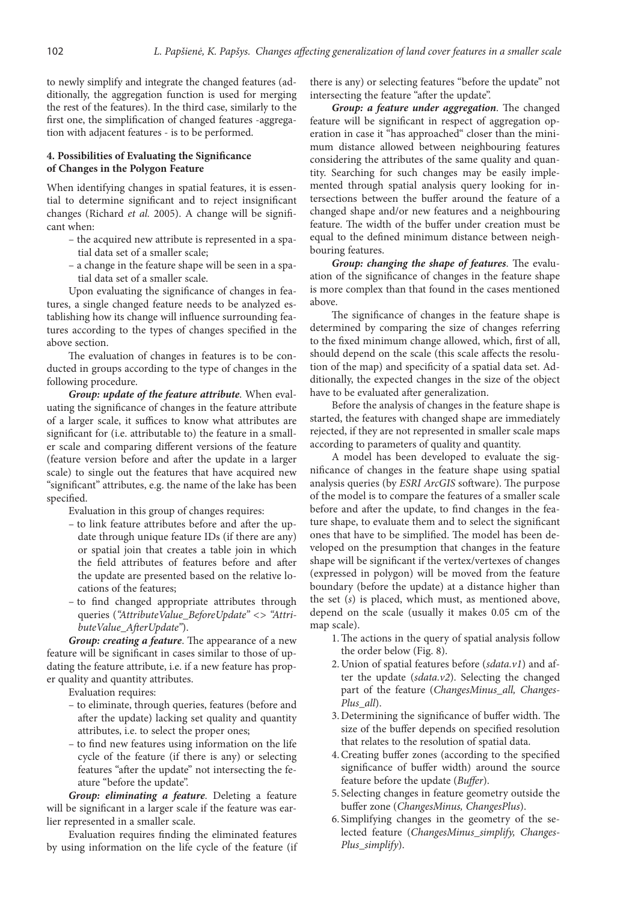to newly simplify and integrate the changed features (additionally, the aggregation function is used for merging the rest of the features). In the third case, similarly to the first one, the simplification of changed features -aggregation with adjacent features - is to be performed.

# **4. Possibilities of Evaluating the Significance of Changes in the Polygon Feature**

When identifying changes in spatial features, it is essential to determine significant and to reject insignificant changes (Richard *et al.* 2005). A change will be significant when:

- the acquired new attribute is represented in a spatial data set of a smaller scale;
- a change in the feature shape will be seen in a spatial data set of a smaller scale.

Upon evaluating the significance of changes in features, a single changed feature needs to be analyzed establishing how its change will influence surrounding features according to the types of changes specified in the above section.

The evaluation of changes in features is to be conducted in groups according to the type of changes in the following procedure.

*Group: update of the feature attribute*. When evaluating the significance of changes in the feature attribute of a larger scale, it suffices to know what attributes are significant for (i.e. attributable to) the feature in a smaller scale and comparing different versions of the feature (feature version before and after the update in a larger scale) to single out the features that have acquired new "significant" attributes, e.g. the name of the lake has been specified.

Evaluation in this group of changes requires:

- to link feature attributes before and after the update through unique feature IDs (if there are any) or spatial join that creates a table join in which the field attributes of features before and after the update are presented based on the relative locations of the features;
- to find changed appropriate attributes through queries (*"AttributeValue\_BeforeUpdate" <> "AttributeValue\_AfterUpdate"*).

*Group: creating a feature*. The appearance of a new feature will be significant in cases similar to those of updating the feature attribute, i.e. if a new feature has proper quality and quantity attributes.

Evaluation requires:

- to eliminate, through queries, features (before and after the update) lacking set quality and quantity attributes, i.e. to select the proper ones;
- to find new features using information on the life cycle of the feature (if there is any) or selecting features "after the update" not intersecting the feature "before the update".

*Group: eliminating a feature*. Deleting a feature will be significant in a larger scale if the feature was earlier represented in a smaller scale.

Evaluation requires finding the eliminated features by using information on the life cycle of the feature (if

there is any) or selecting features "before the update" not intersecting the feature "after the update".

*Group: a feature under aggregation*. The changed feature will be significant in respect of aggregation operation in case it "has approached" closer than the minimum distance allowed between neighbouring features considering the attributes of the same quality and quantity. Searching for such changes may be easily implemented through spatial analysis query looking for intersections between the buffer around the feature of a changed shape and/or new features and a neighbouring feature. The width of the buffer under creation must be equal to the defined minimum distance between neighbouring features.

*Group: changing the shape of features*. The evaluation of the significance of changes in the feature shape is more complex than that found in the cases mentioned above.

The significance of changes in the feature shape is determined by comparing the size of changes referring to the fixed minimum change allowed, which, first of all, should depend on the scale (this scale affects the resolution of the map) and specificity of a spatial data set. Additionally, the expected changes in the size of the object have to be evaluated after generalization.

Before the analysis of changes in the feature shape is started, the features with changed shape are immediately rejected, if they are not represented in smaller scale maps according to parameters of quality and quantity.

A model has been developed to evaluate the significance of changes in the feature shape using spatial analysis queries (by *ESRI ArcGIS* software). The purpose of the model is to compare the features of a smaller scale before and after the update, to find changes in the feature shape, to evaluate them and to select the significant ones that have to be simplified. The model has been developed on the presumption that changes in the feature shape will be significant if the vertex/vertexes of changes (expressed in polygon) will be moved from the feature boundary (before the update) at a distance higher than the set (*s*) is placed, which must, as mentioned above, depend on the scale (usually it makes 0.05 cm of the map scale).

- 1.The actions in the query of spatial analysis follow the order below (Fig. 8).
- 2.Union of spatial features before (*sdata.v1*) and after the update (*sdata.v2*). Selecting the changed part of the feature (*ChangesMinus\_all, Changes-Plus\_all*).
- 3.Determining the significance of buffer width. The size of the buffer depends on specified resolution that relates to the resolution of spatial data.
- 4.Creating buffer zones (according to the specified significance of buffer width) around the source feature before the update (*Buffer*).
- 5. Selecting changes in feature geometry outside the buffer zone (*ChangesMinus, ChangesPlus*).
- 6. Simplifying changes in the geometry of the selected feature (*ChangesMinus\_simplify, Changes-Plus\_simplify*).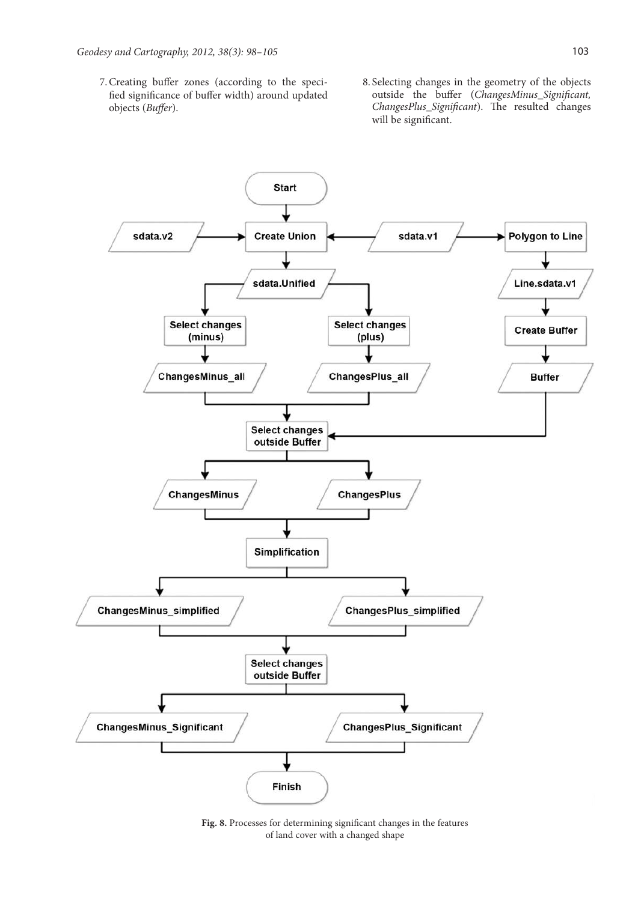- 7.Creating buffer zones (according to the specified significance of buffer width) around updated objects (*Buffer*).
- 8. Selecting changes in the geometry of the objects outside the buffer (*ChangesMinus\_Significant, ChangesPlus\_Significant*). The resulted changes will be significant.



**Fig. 8.** Processes for determining significant changes in the features of land cover with a changed shape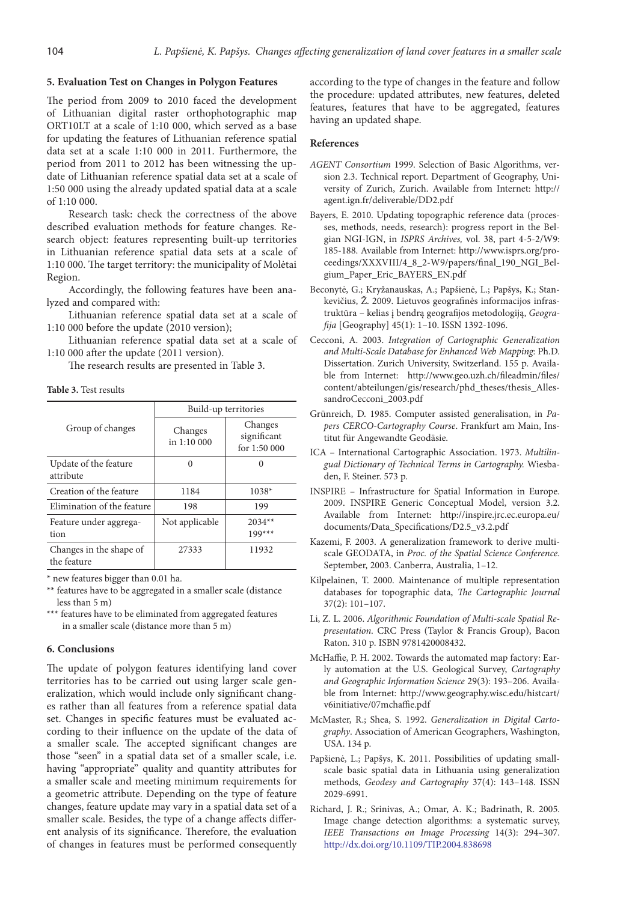## **5. Evaluation Test on Changes in Polygon Features**

The period from 2009 to 2010 faced the development of Lithuanian digital raster orthophotographic map ORT10LT at a scale of 1:10 000, which served as a base for updating the features of Lithuanian reference spatial data set at a scale 1:10 000 in 2011. Furthermore, the period from 2011 to 2012 has been witnessing the update of Lithuanian reference spatial data set at a scale of 1:50 000 using the already updated spatial data at a scale of 1:10 000.

Research task: check the correctness of the above described evaluation methods for feature changes. Research object: features representing built-up territories in Lithuanian reference spatial data sets at a scale of 1:10 000. The target territory: the municipality of Molėtai Region.

Accordingly, the following features have been analyzed and compared with:

Lithuanian reference spatial data set at a scale of 1:10 000 before the update (2010 version);

Lithuanian reference spatial data set at a scale of 1:10 000 after the update (2011 version).

The research results are presented in Table 3.

**Table 3.** Test results

|                                        | Build-up territories   |                                         |
|----------------------------------------|------------------------|-----------------------------------------|
| Group of changes                       | Changes<br>in 1:10 000 | Changes<br>significant<br>for $1:50000$ |
| Update of the feature<br>attribute     | 0                      |                                         |
| Creation of the feature                | 1184                   | $1038*$                                 |
| Elimination of the feature             | 198                    | 199                                     |
| Feature under aggrega-<br>tion         | Not applicable         | $2034**$<br>$199***$                    |
| Changes in the shape of<br>the feature | 27333                  | 11932                                   |

\* new features bigger than 0.01 ha.

\*\* features have to be aggregated in a smaller scale (distance less than 5 m)

\*\*\* features have to be eliminated from aggregated features in a smaller scale (distance more than 5 m)

### **6. Conclusions**

The update of polygon features identifying land cover territories has to be carried out using larger scale generalization, which would include only significant changes rather than all features from a reference spatial data set. Changes in specific features must be evaluated according to their influence on the update of the data of a smaller scale. The accepted significant changes are those "seen" in a spatial data set of a smaller scale, i.e. having "appropriate" quality and quantity attributes for a smaller scale and meeting minimum requirements for a geometric attribute. Depending on the type of feature changes, feature update may vary in a spatial data set of a smaller scale. Besides, the type of a change affects different analysis of its significance. Therefore, the evaluation of changes in features must be performed consequently

according to the type of changes in the feature and follow the procedure: updated attributes, new features, deleted features, features that have to be aggregated, features having an updated shape.

#### **References**

- *AGENT Consortium* 1999. Selection of Basic Algorithms, version 2.3. Technical report. Department of Geography, University of Zurich, Zurich. Available from Internet: [http://](http://agent.ign.fr/deliverable/DD2.pdf) [agent.ign.fr/deliverable/DD2.pdf](http://agent.ign.fr/deliverable/DD2.pdf)
- Bayers, E. 2010. Updating topographic reference data (processes, methods, needs, research): progress report in the Belgian NGI-IGN, in *ISPRS Archives,* vol. 38, part 4-5-2/W9: 185-188. Available from Internet: [http://www.isprs.org/pro](http://www.isprs.org/proceedings/XXXVIII/4_8_2-W9/papers/final_190_NGI_Belgium_Paper_Eric_BAYERS_EN.pdf)[ceedings/XXXVIII/4\\_8\\_2-W9/papers/final\\_190\\_NGI\\_Bel](http://www.isprs.org/proceedings/XXXVIII/4_8_2-W9/papers/final_190_NGI_Belgium_Paper_Eric_BAYERS_EN.pdf)[gium\\_Paper\\_Eric\\_BAYERS\\_EN.pdf](http://www.isprs.org/proceedings/XXXVIII/4_8_2-W9/papers/final_190_NGI_Belgium_Paper_Eric_BAYERS_EN.pdf)
- Beconytė, G.; Kryžanauskas, A.; Papšienė, L.; Papšys, K.; Stankevičius, Ž. 2009. Lietuvos geografinės informacijos infrastruktūra – kelias į bendrą geografijos metodologiją, *Geografija* [Geography] 45(1): 1–10. ISSN 1392-1096.
- Cecconi, A. 2003. *Integration of Cartographic Generalization and Multi-Scale Database for Enhanced Web Mapping*: Ph.D. Dissertation. Zurich University, Switzerland. 155 p. Available from Internet: [http://www.geo.uzh.ch/fileadmin/files/](http://www.geo.uzh.ch/fileadmin/files/content/abteilungen/gis/research/phd_theses/thesis_AllessandroCecconi_2003.pdf) [content/abteilungen/gis/research/phd\\_theses/thesis\\_Alles](http://www.geo.uzh.ch/fileadmin/files/content/abteilungen/gis/research/phd_theses/thesis_AllessandroCecconi_2003.pdf)[sandroCecconi\\_2003.pdf](http://www.geo.uzh.ch/fileadmin/files/content/abteilungen/gis/research/phd_theses/thesis_AllessandroCecconi_2003.pdf)
- Grünreich, D. 1985. Computer assisted generalisation, in *Papers CERCO-Cartography Course*. Frankfurt am Main, Institut für Angewandte Geodäsie.
- ICA International Cartographic Association. 1973. *Multilingual Dictionary of Technical Terms in Cartography.* Wiesbaden, F. Steiner. 573 p.
- INSPIRE Infrastructure for Spatial Information in Europe. 2009. INSPIRE Generic Conceptual Model, version 3.2. Available from Internet: http://inspire.jrc.ec.europa.eu/ documents/Data\_Specifications/D2.5\_v3.2.pdf
- Kazemi, F. 2003. A generalization framework to derive multiscale GEODATA, in *Proc. of the Spatial Science Conference*. September, 2003. Canberra, Australia, 1–12.
- Kilpelainen, T. 2000. Maintenance of multiple representation databases for topographic data, *The Cartographic Journal* 37(2): 101–107.
- Li, Z. L. 2006. *Algorithmic Foundation of Multi-scale Spatial Representation*. CRC Press (Taylor & Francis Group), Bacon Raton. 310 p. ISBN 9781420008432.
- McHaffie, P. H. 2002. Towards the automated map factory: Early automation at the U.S. Geological Survey, *Cartography and Geographic Information Science* 29(3): 193–206. Available from Internet: [http://www.geography.wisc.edu/histcart/](http://www.geography.wisc.edu/histcart/v6initiative/07mchaffie.pdf) [v6initiative/07mchaffie.pdf](http://www.geography.wisc.edu/histcart/v6initiative/07mchaffie.pdf)
- McMaster, R.; Shea, S. 1992. *Generalization in Digital Cartography*. Association of American Geographers, Washington, USA. 134 p.
- Papšienė, L.; Papšys, K. 2011. Possibilities of updating smallscale basic spatial data in Lithuania using generalization methods, *Geodesy and Cartography* 37(4): 143–148. ISSN 2029-6991.
- Richard, J. R.; Srinivas, A.; Omar, A. K.; Badrinath, R. 2005. Image change detection algorithms: a systematic survey, *IEEE Transactions on Image Processing* 14(3): 294–307. <http://dx.doi.org/10.1109/TIP.2004.838698>